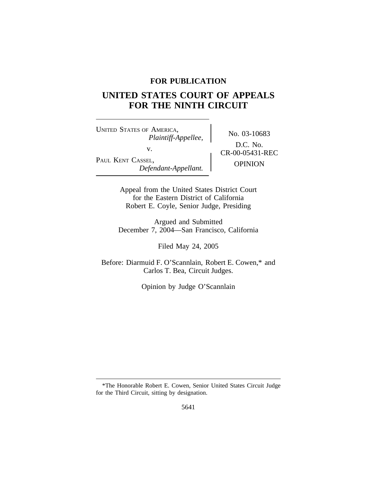# **FOR PUBLICATION**

# **UNITED STATES COURT OF APPEALS FOR THE NINTH CIRCUIT**

<sup>U</sup>NITED STATES OF AMERICA, No. 03-10683 *Plaintiff-Appellee,* v.  $C_{R-00-05431-REC}^{D.C. 190}$ PAUL KENT CASSEL, OPINION *Defendant-Appellant.*

D.C. No.

Appeal from the United States District Court for the Eastern District of California Robert E. Coyle, Senior Judge, Presiding

Argued and Submitted December 7, 2004—San Francisco, California

Filed May 24, 2005

Before: Diarmuid F. O'Scannlain, Robert E. Cowen,\* and Carlos T. Bea, Circuit Judges.

Opinion by Judge O'Scannlain

<sup>\*</sup>The Honorable Robert E. Cowen, Senior United States Circuit Judge for the Third Circuit, sitting by designation.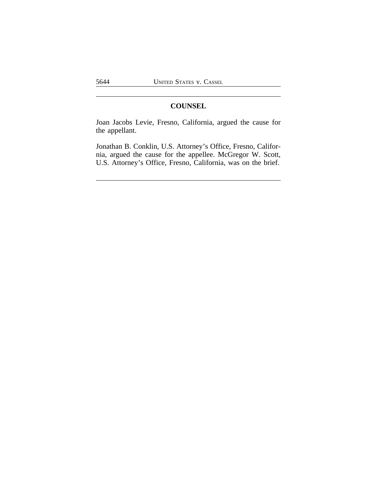## **COUNSEL**

Joan Jacobs Levie, Fresno, California, argued the cause for the appellant.

Jonathan B. Conklin, U.S. Attorney's Office, Fresno, California, argued the cause for the appellee. McGregor W. Scott, U.S. Attorney's Office, Fresno, California, was on the brief.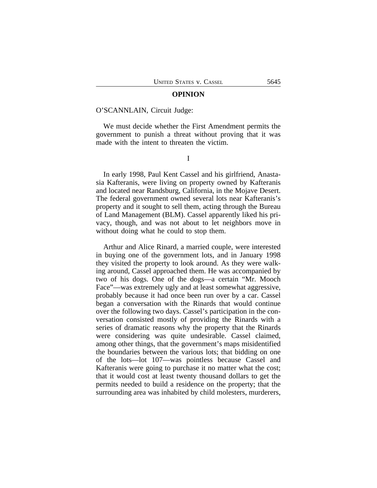#### **OPINION**

#### O'SCANNLAIN, Circuit Judge:

We must decide whether the First Amendment permits the government to punish a threat without proving that it was made with the intent to threaten the victim.

I

In early 1998, Paul Kent Cassel and his girlfriend, Anastasia Kafteranis, were living on property owned by Kafteranis and located near Randsburg, California, in the Mojave Desert. The federal government owned several lots near Kafteranis's property and it sought to sell them, acting through the Bureau of Land Management (BLM). Cassel apparently liked his privacy, though, and was not about to let neighbors move in without doing what he could to stop them.

Arthur and Alice Rinard, a married couple, were interested in buying one of the government lots, and in January 1998 they visited the property to look around. As they were walking around, Cassel approached them. He was accompanied by two of his dogs. One of the dogs—a certain "Mr. Mooch Face"—was extremely ugly and at least somewhat aggressive, probably because it had once been run over by a car. Cassel began a conversation with the Rinards that would continue over the following two days. Cassel's participation in the conversation consisted mostly of providing the Rinards with a series of dramatic reasons why the property that the Rinards were considering was quite undesirable. Cassel claimed, among other things, that the government's maps misidentified the boundaries between the various lots; that bidding on one of the lots—lot 107—was pointless because Cassel and Kafteranis were going to purchase it no matter what the cost; that it would cost at least twenty thousand dollars to get the permits needed to build a residence on the property; that the surrounding area was inhabited by child molesters, murderers,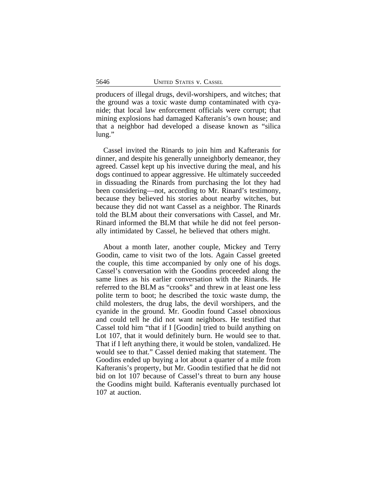producers of illegal drugs, devil-worshipers, and witches; that the ground was a toxic waste dump contaminated with cyanide; that local law enforcement officials were corrupt; that mining explosions had damaged Kafteranis's own house; and that a neighbor had developed a disease known as "silica lung."

Cassel invited the Rinards to join him and Kafteranis for dinner, and despite his generally unneighborly demeanor, they agreed. Cassel kept up his invective during the meal, and his dogs continued to appear aggressive. He ultimately succeeded in dissuading the Rinards from purchasing the lot they had been considering—not, according to Mr. Rinard's testimony, because they believed his stories about nearby witches, but because they did not want Cassel as a neighbor. The Rinards told the BLM about their conversations with Cassel, and Mr. Rinard informed the BLM that while he did not feel personally intimidated by Cassel, he believed that others might.

About a month later, another couple, Mickey and Terry Goodin, came to visit two of the lots. Again Cassel greeted the couple, this time accompanied by only one of his dogs. Cassel's conversation with the Goodins proceeded along the same lines as his earlier conversation with the Rinards. He referred to the BLM as "crooks" and threw in at least one less polite term to boot; he described the toxic waste dump, the child molesters, the drug labs, the devil worshipers, and the cyanide in the ground. Mr. Goodin found Cassel obnoxious and could tell he did not want neighbors. He testified that Cassel told him "that if I [Goodin] tried to build anything on Lot 107, that it would definitely burn. He would see to that. That if I left anything there, it would be stolen, vandalized. He would see to that." Cassel denied making that statement. The Goodins ended up buying a lot about a quarter of a mile from Kafteranis's property, but Mr. Goodin testified that he did not bid on lot 107 because of Cassel's threat to burn any house the Goodins might build. Kafteranis eventually purchased lot 107 at auction.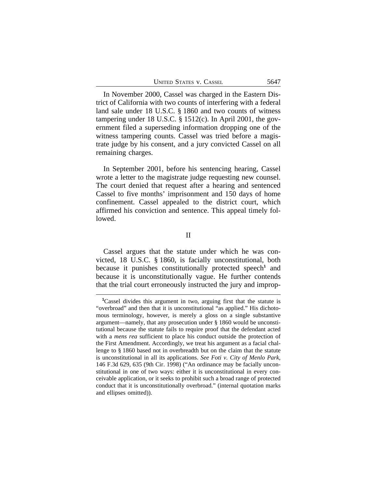UNITED STATES V. CASSEL 5647

In November 2000, Cassel was charged in the Eastern District of California with two counts of interfering with a federal land sale under 18 U.S.C. § 1860 and two counts of witness tampering under 18 U.S.C. § 1512(c). In April 2001, the government filed a superseding information dropping one of the witness tampering counts. Cassel was tried before a magistrate judge by his consent, and a jury convicted Cassel on all remaining charges.

In September 2001, before his sentencing hearing, Cassel wrote a letter to the magistrate judge requesting new counsel. The court denied that request after a hearing and sentenced Cassel to five months' imprisonment and 150 days of home confinement. Cassel appealed to the district court, which affirmed his conviction and sentence. This appeal timely followed.

## II

Cassel argues that the statute under which he was convicted, 18 U.S.C. § 1860, is facially unconstitutional, both because it punishes constitutionally protected speech<sup>1</sup> and because it is unconstitutionally vague. He further contends that the trial court erroneously instructed the jury and improp-

**<sup>1</sup>**Cassel divides this argument in two, arguing first that the statute is "overbroad" and then that it is unconstitutional "as applied." His dichotomous terminology, however, is merely a gloss on a single substantive argument—namely, that any prosecution under § 1860 would be unconstitutional because the statute fails to require proof that the defendant acted with a *mens rea* sufficient to place his conduct outside the protection of the First Amendment. Accordingly, we treat his argument as a facial challenge to § 1860 based not in overbreadth but on the claim that the statute is unconstitutional in all its applications. *See Foti v. City of Menlo Park*, 146 F.3d 629, 635 (9th Cir. 1998) ("An ordinance may be facially unconstitutional in one of two ways: either it is unconstitutional in every conceivable application, or it seeks to prohibit such a broad range of protected conduct that it is unconstitutionally overbroad." (internal quotation marks and ellipses omitted)).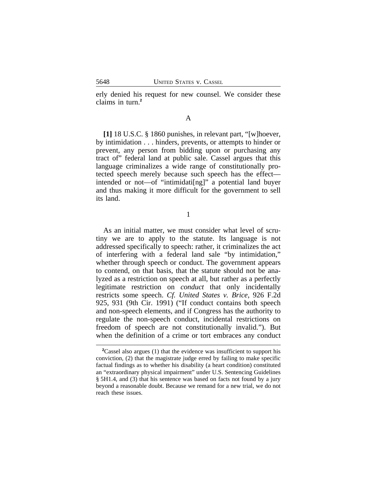erly denied his request for new counsel. We consider these claims in turn.**<sup>2</sup>**

## A

**[1]** 18 U.S.C. § 1860 punishes, in relevant part, "[w]hoever, by intimidation . . . hinders, prevents, or attempts to hinder or prevent, any person from bidding upon or purchasing any tract of" federal land at public sale. Cassel argues that this language criminalizes a wide range of constitutionally protected speech merely because such speech has the effect intended or not—of "intimidati[ng]" a potential land buyer and thus making it more difficult for the government to sell its land.

1

As an initial matter, we must consider what level of scrutiny we are to apply to the statute. Its language is not addressed specifically to speech: rather, it criminalizes the act of interfering with a federal land sale "by intimidation," whether through speech or conduct. The government appears to contend, on that basis, that the statute should not be analyzed as a restriction on speech at all, but rather as a perfectly legitimate restriction on *conduct* that only incidentally restricts some speech. *Cf. United States v. Brice*, 926 F.2d 925, 931 (9th Cir. 1991) ("If conduct contains both speech and non-speech elements, and if Congress has the authority to regulate the non-speech conduct, incidental restrictions on freedom of speech are not constitutionally invalid."). But when the definition of a crime or tort embraces any conduct

<sup>&</sup>lt;sup>2</sup>Cassel also argues (1) that the evidence was insufficient to support his conviction, (2) that the magistrate judge erred by failing to make specific factual findings as to whether his disability (a heart condition) constituted an "extraordinary physical impairment" under U.S. Sentencing Guidelines § 5H1.4, and (3) that his sentence was based on facts not found by a jury beyond a reasonable doubt. Because we remand for a new trial, we do not reach these issues.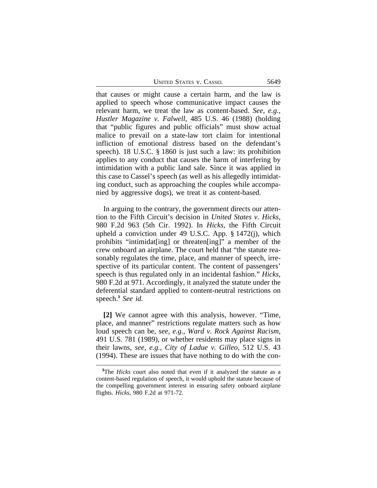UNITED STATES V. CASSEL 5649

that causes or might cause a certain harm, and the law is applied to speech whose communicative impact causes the relevant harm, we treat the law as content-based. *See, e.g.*, *Hustler Magazine v. Falwell*, 485 U.S. 46 (1988) (holding that "public figures and public officials" must show actual malice to prevail on a state-law tort claim for intentional infliction of emotional distress based on the defendant's speech). 18 U.S.C. § 1860 is just such a law: its prohibition applies to any conduct that causes the harm of interfering by intimidation with a public land sale. Since it was applied in this case to Cassel's speech (as well as his allegedly intimidating conduct, such as approaching the couples while accompanied by aggressive dogs), we treat it as content-based.

In arguing to the contrary, the government directs our attention to the Fifth Circuit's decision in *United States v. Hicks*, 980 F.2d 963 (5th Cir. 1992). In *Hicks*, the Fifth Circuit upheld a conviction under 49 U.S.C. App. § 1472(j), which prohibits "intimidat[ing] or threaten[ing]" a member of the crew onboard an airplane. The court held that "the statute reasonably regulates the time, place, and manner of speech, irrespective of its particular content. The content of passengers' speech is thus regulated only in an incidental fashion." *Hicks*, 980 F.2d at 971. Accordingly, it analyzed the statute under the deferential standard applied to content-neutral restrictions on speech.**<sup>3</sup>** *See id.* 

**[2]** We cannot agree with this analysis, however. "Time, place, and manner" restrictions regulate matters such as how loud speech can be, *see, e.g.*, *Ward v. Rock Against Racism*, 491 U.S. 781 (1989), or whether residents may place signs in their lawns, *see, e.g.*, *City of Ladue v. Gilleo*, 512 U.S. 43 (1994). These are issues that have nothing to do with the con-

**<sup>3</sup>**The *Hicks* court also noted that even if it analyzed the statute as a content-based regulation of speech, it would uphold the statute because of the compelling government interest in ensuring safety onboard airplane flights. *Hicks*, 980 F.2d at 971-72.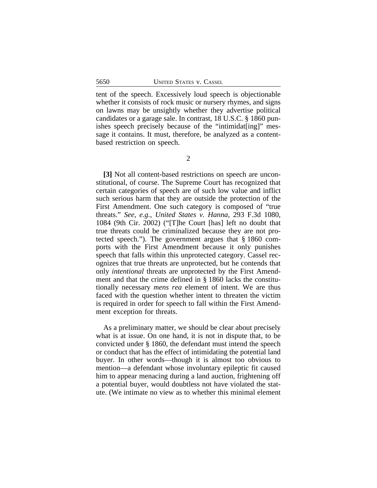tent of the speech. Excessively loud speech is objectionable whether it consists of rock music or nursery rhymes, and signs on lawns may be unsightly whether they advertise political candidates or a garage sale. In contrast, 18 U.S.C. § 1860 punishes speech precisely because of the "intimidat[ing]" message it contains. It must, therefore, be analyzed as a contentbased restriction on speech.

**[3]** Not all content-based restrictions on speech are unconstitutional, of course. The Supreme Court has recognized that certain categories of speech are of such low value and inflict such serious harm that they are outside the protection of the First Amendment. One such category is composed of "true threats." *See, e.g.*, *United States v. Hanna*, 293 F.3d 1080, 1084 (9th Cir. 2002) ("[T]he Court [has] left no doubt that true threats could be criminalized because they are not protected speech."). The government argues that § 1860 comports with the First Amendment because it only punishes speech that falls within this unprotected category. Cassel recognizes that true threats are unprotected, but he contends that only *intentional* threats are unprotected by the First Amendment and that the crime defined in § 1860 lacks the constitutionally necessary *mens rea* element of intent. We are thus faced with the question whether intent to threaten the victim is required in order for speech to fall within the First Amendment exception for threats.

As a preliminary matter, we should be clear about precisely what is at issue. On one hand, it is not in dispute that, to be convicted under § 1860, the defendant must intend the speech or conduct that has the effect of intimidating the potential land buyer. In other words—though it is almost too obvious to mention—a defendant whose involuntary epileptic fit caused him to appear menacing during a land auction, frightening off a potential buyer, would doubtless not have violated the statute. (We intimate no view as to whether this minimal element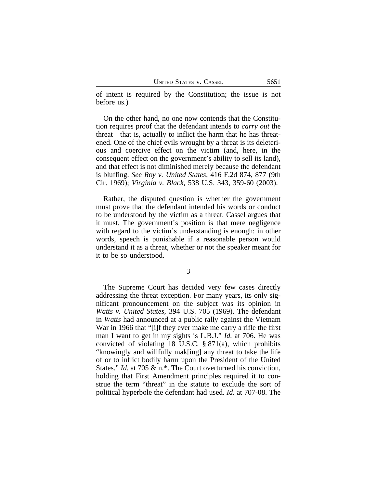of intent is required by the Constitution; the issue is not before us.)

On the other hand, no one now contends that the Constitution requires proof that the defendant intends to *carry out* the threat—that is, actually to inflict the harm that he has threatened. One of the chief evils wrought by a threat is its deleterious and coercive effect on the victim (and, here, in the consequent effect on the government's ability to sell its land), and that effect is not diminished merely because the defendant is bluffing. *See Roy v. United States*, 416 F.2d 874, 877 (9th Cir. 1969); *Virginia v. Black*, 538 U.S. 343, 359-60 (2003).

Rather, the disputed question is whether the government must prove that the defendant intended his words or conduct to be understood by the victim as a threat. Cassel argues that it must. The government's position is that mere negligence with regard to the victim's understanding is enough: in other words, speech is punishable if a reasonable person would understand it as a threat, whether or not the speaker meant for it to be so understood.

3

The Supreme Court has decided very few cases directly addressing the threat exception. For many years, its only significant pronouncement on the subject was its opinion in *Watts v. United States*, 394 U.S. 705 (1969). The defendant in *Watts* had announced at a public rally against the Vietnam War in 1966 that "[i]f they ever make me carry a rifle the first man I want to get in my sights is L.B.J." *Id.* at 706. He was convicted of violating 18 U.S.C. § 871(a), which prohibits "knowingly and willfully mak[ing] any threat to take the life of or to inflict bodily harm upon the President of the United States." *Id.* at 705 & n.\*. The Court overturned his conviction, holding that First Amendment principles required it to construe the term "threat" in the statute to exclude the sort of political hyperbole the defendant had used. *Id.* at 707-08. The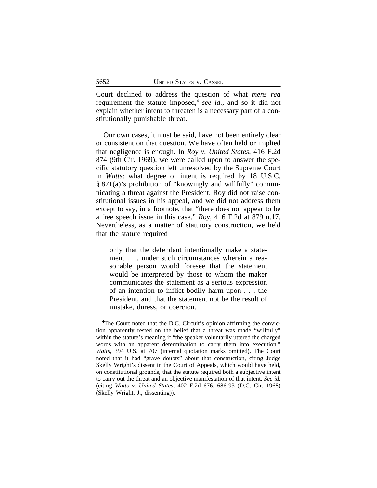Court declined to address the question of what *mens rea* requirement the statute imposed,**<sup>4</sup>** *see id.*, and so it did not explain whether intent to threaten is a necessary part of a constitutionally punishable threat.

Our own cases, it must be said, have not been entirely clear or consistent on that question. We have often held or implied that negligence is enough. In *Roy v. United States*, 416 F.2d 874 (9th Cir. 1969), we were called upon to answer the specific statutory question left unresolved by the Supreme Court in *Watts*: what degree of intent is required by 18 U.S.C. § 871(a)'s prohibition of "knowingly and willfully" communicating a threat against the President. Roy did not raise constitutional issues in his appeal, and we did not address them except to say, in a footnote, that "there does not appear to be a free speech issue in this case." *Roy*, 416 F.2d at 879 n.17. Nevertheless, as a matter of statutory construction, we held that the statute required

only that the defendant intentionally make a statement . . . under such circumstances wherein a reasonable person would foresee that the statement would be interpreted by those to whom the maker communicates the statement as a serious expression of an intention to inflict bodily harm upon . . . the President, and that the statement not be the result of mistake, duress, or coercion.

<sup>&</sup>lt;sup>4</sup>The Court noted that the D.C. Circuit's opinion affirming the conviction apparently rested on the belief that a threat was made "willfully" within the statute's meaning if "the speaker voluntarily uttered the charged words with an apparent determination to carry them into execution." *Watts*, 394 U.S. at 707 (internal quotation marks omitted). The Court noted that it had "grave doubts" about that construction, citing Judge Skelly Wright's dissent in the Court of Appeals, which would have held, on constitutional grounds, that the statute required both a subjective intent to carry out the threat and an objective manifestation of that intent. *See id.* (citing *Watts v. United States*, 402 F.2d 676, 686-93 (D.C. Cir. 1968) (Skelly Wright, J., dissenting)).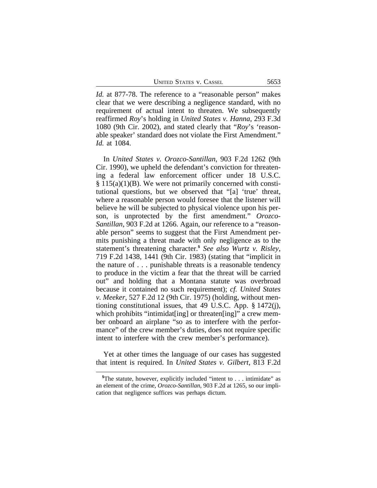*Id.* at 877-78. The reference to a "reasonable person" makes clear that we were describing a negligence standard, with no requirement of actual intent to threaten. We subsequently reaffirmed *Roy*'s holding in *United States v. Hanna*, 293 F.3d 1080 (9th Cir. 2002), and stated clearly that "*Roy*'s 'reasonable speaker' standard does not violate the First Amendment." *Id.* at 1084.

In *United States v. Orozco-Santillan*, 903 F.2d 1262 (9th Cir. 1990), we upheld the defendant's conviction for threatening a federal law enforcement officer under 18 U.S.C.  $§ 115(a)(1)(B)$ . We were not primarily concerned with constitutional questions, but we observed that "[a] 'true' threat, where a reasonable person would foresee that the listener will believe he will be subjected to physical violence upon his person, is unprotected by the first amendment." *Orozco-Santillan*, 903 F.2d at 1266. Again, our reference to a "reasonable person" seems to suggest that the First Amendment permits punishing a threat made with only negligence as to the statement's threatening character.**<sup>5</sup>** *See also Wurtz v. Risley*, 719 F.2d 1438, 1441 (9th Cir. 1983) (stating that "implicit in the nature of . . . punishable threats is a reasonable tendency to produce in the victim a fear that the threat will be carried out" and holding that a Montana statute was overbroad because it contained no such requirement); *cf. United States v. Meeker*, 527 F.2d 12 (9th Cir. 1975) (holding, without mentioning constitutional issues, that 49 U.S.C. App. § 1472(j), which prohibits "intimidat[ing] or threaten[ing]" a crew member onboard an airplane "so as to interfere with the performance" of the crew member's duties, does not require specific intent to interfere with the crew member's performance).

Yet at other times the language of our cases has suggested that intent is required. In *United States v. Gilbert*, 813 F.2d

**<sup>5</sup>**The statute, however, explicitly included "intent to . . . intimidate" as an element of the crime, *Orozco-Santillan*, 903 F.2d at 1265, so our implication that negligence suffices was perhaps dictum.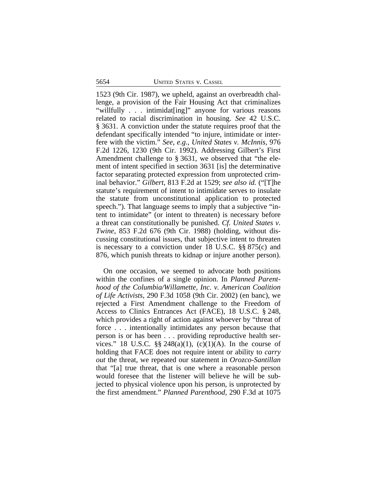1523 (9th Cir. 1987), we upheld, against an overbreadth challenge, a provision of the Fair Housing Act that criminalizes "willfully . . . intimidat[ing]" anyone for various reasons related to racial discrimination in housing. *See* 42 U.S.C. § 3631. A conviction under the statute requires proof that the defendant specifically intended "to injure, intimidate or interfere with the victim." *See, e.g.*, *United States v. McInnis*, 976 F.2d 1226, 1230 (9th Cir. 1992). Addressing Gilbert's First Amendment challenge to § 3631, we observed that "the element of intent specified in section 3631 [is] the determinative factor separating protected expression from unprotected criminal behavior." *Gilbert*, 813 F.2d at 1529; *see also id.* ("[T]he statute's requirement of intent to intimidate serves to insulate the statute from unconstitutional application to protected speech."). That language seems to imply that a subjective "intent to intimidate" (or intent to threaten) is necessary before a threat can constitutionally be punished. *Cf. United States v. Twine*, 853 F.2d 676 (9th Cir. 1988) (holding, without discussing constitutional issues, that subjective intent to threaten is necessary to a conviction under 18 U.S.C. §§ 875(c) and 876, which punish threats to kidnap or injure another person).

On one occasion, we seemed to advocate both positions within the confines of a single opinion. In *Planned Parenthood of the Columbia/Willamette, Inc. v. American Coalition of Life Activists*, 290 F.3d 1058 (9th Cir. 2002) (en banc), we rejected a First Amendment challenge to the Freedom of Access to Clinics Entrances Act (FACE), 18 U.S.C. § 248, which provides a right of action against whoever by "threat of force . . . intentionally intimidates any person because that person is or has been . . . providing reproductive health services." 18 U.S.C.  $\S$   $248(a)(1)$ , (c)(1)(A). In the course of holding that FACE does not require intent or ability to *carry out* the threat, we repeated our statement in *Orozco-Santillan* that "[a] true threat, that is one where a reasonable person would foresee that the listener will believe he will be subjected to physical violence upon his person, is unprotected by the first amendment." *Planned Parenthood*, 290 F.3d at 1075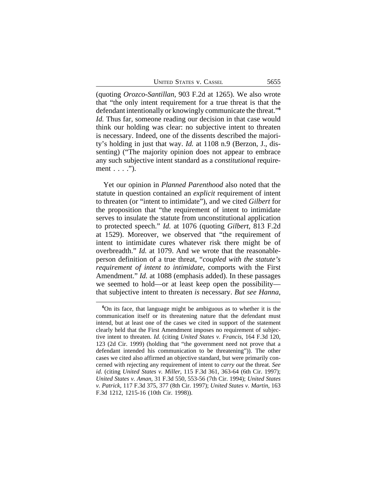UNITED STATES V. CASSEL 5655

(quoting *Orozco-Santillan*, 903 F.2d at 1265). We also wrote that "the only intent requirement for a true threat is that the defendant intentionally or knowingly communicate the threat." **6** *Id.* Thus far, someone reading our decision in that case would think our holding was clear: no subjective intent to threaten is necessary. Indeed, one of the dissents described the majority's holding in just that way. *Id.* at 1108 n.9 (Berzon, J., dissenting) ("The majority opinion does not appear to embrace any such subjective intent standard as a *constitutional* requirement . . . .").

Yet our opinion in *Planned Parenthood* also noted that the statute in question contained an *explicit* requirement of intent to threaten (or "intent to intimidate"), and we cited *Gilbert* for the proposition that "the requirement of intent to intimidate serves to insulate the statute from unconstitutional application to protected speech." *Id.* at 1076 (quoting *Gilbert*, 813 F.2d at 1529). Moreover, we observed that "the requirement of intent to intimidate cures whatever risk there might be of overbreadth." *Id.* at 1079. And we wrote that the reasonableperson definition of a true threat, "*coupled with the statute's requirement of intent to intimidate*, comports with the First Amendment." *Id.* at 1088 (emphasis added). In these passages we seemed to hold—or at least keep open the possibility that subjective intent to threaten *is* necessary. *But see Hanna*,

**<sup>6</sup>**On its face, that language might be ambiguous as to whether it is the communication itself or its threatening nature that the defendant must intend, but at least one of the cases we cited in support of the statement clearly held that the First Amendment imposes no requirement of subjective intent to threaten. *Id.* (citing *United States v. Francis*, 164 F.3d 120, 123 (2d Cir. 1999) (holding that "the government need not prove that a defendant intended his communication to be threatening")). The other cases we cited also affirmed an objective standard, but were primarily concerned with rejecting any requirement of intent to *carry out* the threat. *See id.* (citing *United States v. Miller*, 115 F.3d 361, 363-64 (6th Cir. 1997); *United States v. Aman*, 31 F.3d 550, 553-56 (7th Cir. 1994); *United States v. Patrick*, 117 F.3d 375, 377 (8th Cir. 1997); *United States v. Martin*, 163 F.3d 1212, 1215-16 (10th Cir. 1998)).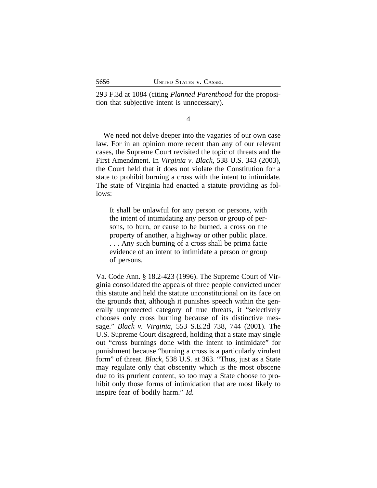293 F.3d at 1084 (citing *Planned Parenthood* for the proposition that subjective intent is unnecessary).

4

We need not delve deeper into the vagaries of our own case law. For in an opinion more recent than any of our relevant cases, the Supreme Court revisited the topic of threats and the First Amendment. In *Virginia v. Black*, 538 U.S. 343 (2003), the Court held that it does not violate the Constitution for a state to prohibit burning a cross with the intent to intimidate. The state of Virginia had enacted a statute providing as follows:

It shall be unlawful for any person or persons, with the intent of intimidating any person or group of persons, to burn, or cause to be burned, a cross on the property of another, a highway or other public place. . . . Any such burning of a cross shall be prima facie evidence of an intent to intimidate a person or group of persons.

Va. Code Ann. § 18.2-423 (1996). The Supreme Court of Virginia consolidated the appeals of three people convicted under this statute and held the statute unconstitutional on its face on the grounds that, although it punishes speech within the generally unprotected category of true threats, it "selectively chooses only cross burning because of its distinctive message." *Black v. Virginia*, 553 S.E.2d 738, 744 (2001). The U.S. Supreme Court disagreed, holding that a state may single out "cross burnings done with the intent to intimidate" for punishment because "burning a cross is a particularly virulent form" of threat. *Black*, 538 U.S. at 363. "Thus, just as a State may regulate only that obscenity which is the most obscene due to its prurient content, so too may a State choose to prohibit only those forms of intimidation that are most likely to inspire fear of bodily harm." *Id.*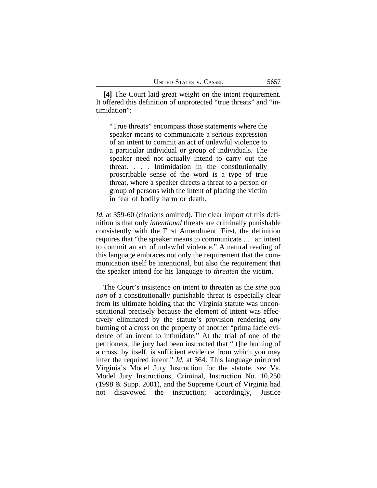**[4]** The Court laid great weight on the intent requirement. It offered this definition of unprotected "true threats" and "intimidation":

"True threats" encompass those statements where the speaker means to communicate a serious expression of an intent to commit an act of unlawful violence to a particular individual or group of individuals. The speaker need not actually intend to carry out the threat. . . . Intimidation in the constitutionally proscribable sense of the word is a type of true threat, where a speaker directs a threat to a person or group of persons with the intent of placing the victim in fear of bodily harm or death.

*Id.* at 359-60 (citations omitted). The clear import of this definition is that only *intentional* threats are criminally punishable consistently with the First Amendment. First, the definition requires that "the speaker means to communicate . . . an intent to commit an act of unlawful violence." A natural reading of this language embraces not only the requirement that the communication itself be intentional, but also the requirement that the speaker intend for his language to *threaten* the victim.

The Court's insistence on intent to threaten as the *sine qua non* of a constitutionally punishable threat is especially clear from its ultimate holding that the Virginia statute was unconstitutional precisely because the element of intent was effectively eliminated by the statute's provision rendering *any* burning of a cross on the property of another "prima facie evidence of an intent to intimidate." At the trial of one of the petitioners, the jury had been instructed that "[t]he burning of a cross, by itself, is sufficient evidence from which you may infer the required intent." *Id.* at 364. This language mirrored Virginia's Model Jury Instruction for the statute, *see* Va. Model Jury Instructions, Criminal, Instruction No. 10.250 (1998 & Supp. 2001), and the Supreme Court of Virginia had not disavowed the instruction; accordingly, Justice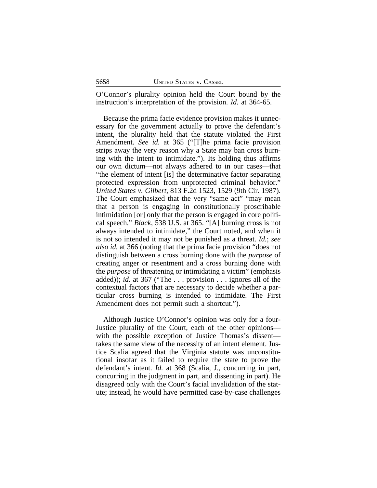O'Connor's plurality opinion held the Court bound by the instruction's interpretation of the provision. *Id.* at 364-65.

Because the prima facie evidence provision makes it unnecessary for the government actually to prove the defendant's intent, the plurality held that the statute violated the First Amendment. *See id.* at 365 ("[T]he prima facie provision strips away the very reason why a State may ban cross burning with the intent to intimidate."). Its holding thus affirms our own dictum—not always adhered to in our cases—that "the element of intent [is] the determinative factor separating protected expression from unprotected criminal behavior." *United States v. Gilbert*, 813 F.2d 1523, 1529 (9th Cir. 1987). The Court emphasized that the very "same act" "may mean that a person is engaging in constitutionally proscribable intimidation [or] only that the person is engaged in core political speech." *Black*, 538 U.S. at 365. "[A] burning cross is not always intended to intimidate," the Court noted, and when it is not so intended it may not be punished as a threat. *Id.*; *see also id.* at 366 (noting that the prima facie provision "does not distinguish between a cross burning done with the *purpose* of creating anger or resentment and a cross burning done with the *purpose* of threatening or intimidating a victim" (emphasis added)); *id.* at 367 ("The . . . provision . . . ignores all of the contextual factors that are necessary to decide whether a particular cross burning is intended to intimidate. The First Amendment does not permit such a shortcut.").

Although Justice O'Connor's opinion was only for a four-Justice plurality of the Court, each of the other opinions with the possible exception of Justice Thomas's dissent takes the same view of the necessity of an intent element. Justice Scalia agreed that the Virginia statute was unconstitutional insofar as it failed to require the state to prove the defendant's intent. *Id.* at 368 (Scalia, J., concurring in part, concurring in the judgment in part, and dissenting in part). He disagreed only with the Court's facial invalidation of the statute; instead, he would have permitted case-by-case challenges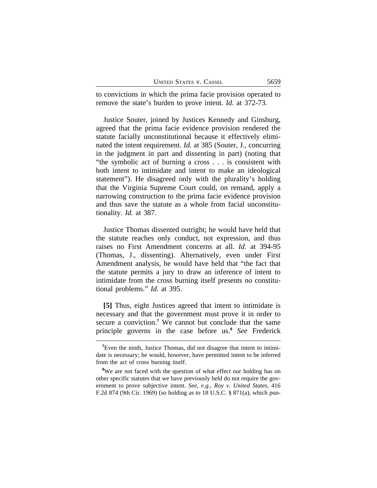| UNITED STATES V. CASSEL | 5659 |
|-------------------------|------|
|-------------------------|------|

to convictions in which the prima facie provision operated to remove the state's burden to prove intent. *Id.* at 372-73.

Justice Souter, joined by Justices Kennedy and Ginsburg, agreed that the prima facie evidence provision rendered the statute facially unconstitutional because it effectively eliminated the intent requirement. *Id.* at 385 (Souter, J., concurring in the judgment in part and dissenting in part) (noting that "the symbolic act of burning a cross . . . is consistent with both intent to intimidate and intent to make an ideological statement"). He disagreed only with the plurality's holding that the Virginia Supreme Court could, on remand, apply a narrowing construction to the prima facie evidence provision and thus save the statute as a whole from facial unconstitutionality. *Id.* at 387.

Justice Thomas dissented outright; he would have held that the statute reaches only conduct, not expression, and thus raises no First Amendment concerns at all. *Id.* at 394-95 (Thomas, J., dissenting). Alternatively, even under First Amendment analysis, he would have held that "the fact that the statute permits a jury to draw an inference of intent to intimidate from the cross burning itself presents no constitutional problems." *Id.* at 395.

**[5]** Thus, eight Justices agreed that intent to intimidate is necessary and that the government must prove it in order to secure a conviction.**<sup>7</sup>** We cannot but conclude that the same principle governs in the case before us.**<sup>8</sup>** *See* Frederick

**<sup>7</sup>**Even the ninth, Justice Thomas, did not disagree that intent to intimidate is necessary; he would, however, have permitted intent to be inferred from the act of cross burning itself.

<sup>&</sup>lt;sup>8</sup>We are not faced with the question of what effect our holding has on other specific statutes that we have previously held do not require the government to prove subjective intent. *See, e.g.*, *Roy v. United States*, 416 F.2d 874 (9th Cir. 1969) (so holding as to 18 U.S.C. § 871(a), which pun-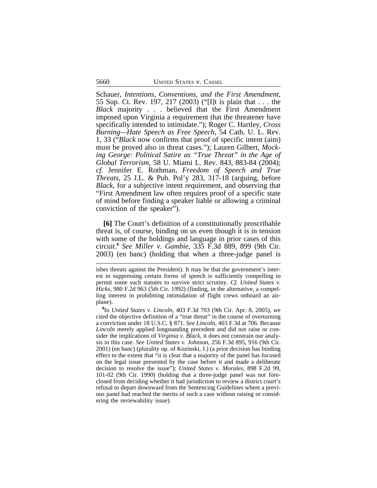Schauer, *Intentions, Conventions, and the First Amendment*, 55 Sup. Ct. Rev. 197, 217 (2003) ("[I]t is plain that . . . the *Black* majority . . . believed that the First Amendment imposed upon Virginia a requirement that the threatener have specifically intended to intimidate."); Roger C. Hartley, *Cross Burning—Hate Speech as Free Speech*, 54 Cath. U. L. Rev. 1, 33 ("*Black* now confirms that proof of specific intent (aim) must be proved also in threat cases."); Lauren Gilbert, *Mocking George: Political Satire as "True Threat" in the Age of Global Terrorism*, 58 U. Miami L. Rev. 843, 883-84 (2004); *cf.* Jennifer E. Rothman, *Freedom of Speech and True Threats*, 25 J.L. & Pub. Pol'y 283, 317-18 (arguing, before *Black*, for a subjective intent requirement, and observing that "First Amendment law often requires proof of a specific state of mind before finding a speaker liable or allowing a criminal conviction of the speaker").

**[6]** The Court's definition of a constitutionally proscribable threat is, of course, binding on us even though it is in tension with some of the holdings and language in prior cases of this circuit.**<sup>9</sup>** *See Miller v. Gambie*, 335 F.3d 889, 899 (9th Cir. 2003) (en banc) (holding that when a three-judge panel is

ishes threats against the President). It may be that the government's interest in suppressing certain forms of speech is sufficiently compelling to permit some such statutes to survive strict scrutiny. *Cf. United States v. Hicks*, 980 F.2d 963 (5th Cir. 1992) (finding, in the alternative, a compelling interest in prohibiting intimidation of flight crews onboard an airplane).

**<sup>9</sup>** In *United States v. Lincoln*, 403 F.3d 703 (9th Cir. Apr. 8, 2005), we cited the objective definition of a "true threat" in the course of overturning a conviction under 18 U.S.C. § 871. *See Lincoln*, 403 F.3d at 706. Because *Lincoln* merely applied longstanding precedent and did not raise or consider the implications of *Virginia v. Black*, it does not constrain our analysis in this case. *See United States v. Johnson*, 256 F.3d 895, 916 (9th Cir. 2001) (en banc) (plurality op. of Kozinski, J.) (a prior decision has binding effect to the extent that "it is clear that a majority of the panel has focused on the legal issue presented by the case before it and made a deliberate decision to resolve the issue"); *United States v. Morales*, 898 F.2d 99, 101-02 (9th Cir. 1990) (holding that a three-judge panel was not foreclosed from deciding whether it had jurisdiction to review a district court's refusal to depart downward from the Sentencing Guidelines where a previous panel had reached the merits of such a case without raising or considering the reviewability issue).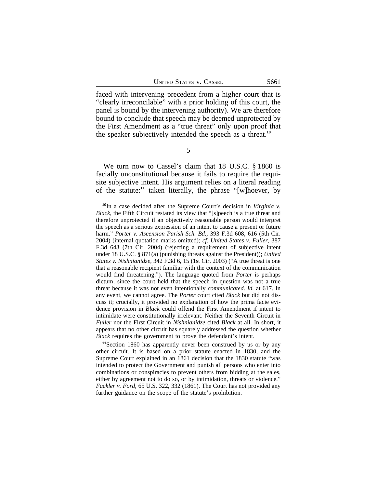faced with intervening precedent from a higher court that is "clearly irreconcilable" with a prior holding of this court, the panel is bound by the intervening authority). We are therefore bound to conclude that speech may be deemed unprotected by the First Amendment as a "true threat" only upon proof that the speaker subjectively intended the speech as a threat.**<sup>10</sup>**

5

We turn now to Cassel's claim that 18 U.S.C. § 1860 is facially unconstitutional because it fails to require the requisite subjective intent. His argument relies on a literal reading of the statute:**<sup>11</sup>** taken literally, the phrase "[w]hoever, by

**<sup>11</sup>**Section 1860 has apparently never been construed by us or by any other circuit. It is based on a prior statute enacted in 1830, and the Supreme Court explained in an 1861 decision that the 1830 statute "was intended to protect the Government and punish all persons who enter into combinations or conspiracies to prevent others from bidding at the sales, either by agreement not to do so, or by intimidation, threats or violence." *Fackler v. Ford*, 65 U.S. 322, 332 (1861). The Court has not provided any further guidance on the scope of the statute's prohibition.

**<sup>10</sup>**In a case decided after the Supreme Court's decision in *Virginia v. Black*, the Fifth Circuit restated its view that "[s]peech is a true threat and therefore unprotected if an objectively reasonable person would interpret the speech as a serious expression of an intent to cause a present or future harm." *Porter v. Ascension Parish Sch. Bd.*, 393 F.3d 608, 616 (5th Cir. 2004) (internal quotation marks omitted); *cf. United States v. Fuller*, 387 F.3d 643 (7th Cir. 2004) (rejecting a requirement of subjective intent under 18 U.S.C. § 871(a) (punishing threats against the President)); *United States v. Nishnianidze*, 342 F.3d 6, 15 (1st Cir. 2003) ("A true threat is one that a reasonable recipient familiar with the context of the communication would find threatening."). The language quoted from *Porter* is perhaps dictum, since the court held that the speech in question was not a true threat because it was not even intentionally *communicated*. *Id.* at 617. In any event, we cannot agree. The *Porter* court cited *Black* but did not discuss it; crucially, it provided no explanation of how the prima facie evidence provision in *Black* could offend the First Amendment if intent to intimidate were constitutionally irrelevant. Neither the Seventh Circuit in *Fuller* nor the First Circuit in *Nishnianidze* cited *Black* at all. In short, it appears that no other circuit has squarely addressed the question whether *Black* requires the government to prove the defendant's intent.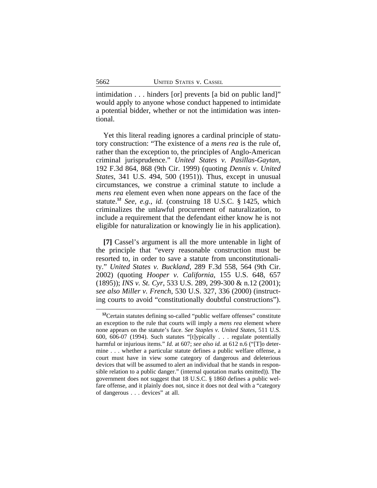intimidation . . . hinders [or] prevents [a bid on public land]" would apply to anyone whose conduct happened to intimidate a potential bidder, whether or not the intimidation was intentional.

Yet this literal reading ignores a cardinal principle of statutory construction: "The existence of a *mens rea* is the rule of, rather than the exception to, the principles of Anglo-American criminal jurisprudence." *United States v. Pasillas-Gaytan*, 192 F.3d 864, 868 (9th Cir. 1999) (quoting *Dennis v. United States*, 341 U.S. 494, 500 (1951)). Thus, except in unusual circumstances, we construe a criminal statute to include a *mens rea* element even when none appears on the face of the statute.**<sup>12</sup>** *See, e.g.*, *id.* (construing 18 U.S.C. § 1425, which criminalizes the unlawful procurement of naturalization, to include a requirement that the defendant either know he is not eligible for naturalization or knowingly lie in his application).

**[7]** Cassel's argument is all the more untenable in light of the principle that "every reasonable construction must be resorted to, in order to save a statute from unconstitutionality." *United States v. Buckland*, 289 F.3d 558, 564 (9th Cir. 2002) (quoting *Hooper v. California*, 155 U.S. 648, 657 (1895)); *INS v. St. Cyr*, 533 U.S. 289, 299-300 & n.12 (2001); *see also Miller v. French*, 530 U.S. 327, 336 (2000) (instructing courts to avoid "constitutionally doubtful constructions").

**<sup>12</sup>**Certain statutes defining so-called "public welfare offenses" constitute an exception to the rule that courts will imply a *mens rea* element where none appears on the statute's face. *See Staples v. United States*, 511 U.S. 600, 606-07 (1994). Such statutes "[t]ypically . . . regulate potentially harmful or injurious items." *Id.* at 607; *see also id.* at 612 n.6 ("[T]o determine . . . whether a particular statute defines a public welfare offense, a court must have in view some category of dangerous and deleterious devices that will be assumed to alert an individual that he stands in responsible relation to a public danger." (internal quotation marks omitted)). The government does not suggest that 18 U.S.C. § 1860 defines a public welfare offense, and it plainly does not, since it does not deal with a "category of dangerous . . . devices" at all.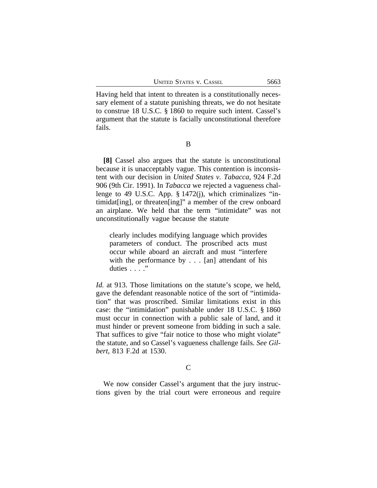Having held that intent to threaten is a constitutionally necessary element of a statute punishing threats, we do not hesitate to construe 18 U.S.C. § 1860 to require such intent. Cassel's argument that the statute is facially unconstitutional therefore fails.

B

**[8]** Cassel also argues that the statute is unconstitutional because it is unacceptably vague. This contention is inconsistent with our decision in *United States v. Tabacca*, 924 F.2d 906 (9th Cir. 1991). In *Tabacca* we rejected a vagueness challenge to 49 U.S.C. App. § 1472(j), which criminalizes "intimidat[ing], or threaten[ing]" a member of the crew onboard an airplane. We held that the term "intimidate" was not unconstitutionally vague because the statute

clearly includes modifying language which provides parameters of conduct. The proscribed acts must occur while aboard an aircraft and must "interfere with the performance by . . . [an] attendant of his duties . . . ."

*Id.* at 913. Those limitations on the statute's scope, we held, gave the defendant reasonable notice of the sort of "intimidation" that was proscribed. Similar limitations exist in this case: the "intimidation" punishable under 18 U.S.C. § 1860 must occur in connection with a public sale of land, and it must hinder or prevent someone from bidding in such a sale. That suffices to give "fair notice to those who might violate" the statute, and so Cassel's vagueness challenge fails. *See Gilbert*, 813 F.2d at 1530.

C

We now consider Cassel's argument that the jury instructions given by the trial court were erroneous and require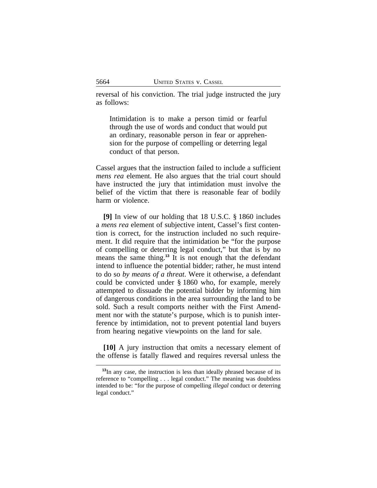reversal of his conviction. The trial judge instructed the jury as follows:

Intimidation is to make a person timid or fearful through the use of words and conduct that would put an ordinary, reasonable person in fear or apprehension for the purpose of compelling or deterring legal conduct of that person.

Cassel argues that the instruction failed to include a sufficient *mens rea* element. He also argues that the trial court should have instructed the jury that intimidation must involve the belief of the victim that there is reasonable fear of bodily harm or violence.

**[9]** In view of our holding that 18 U.S.C. § 1860 includes a *mens rea* element of subjective intent, Cassel's first contention is correct, for the instruction included no such requirement. It did require that the intimidation be "for the purpose of compelling or deterring legal conduct," but that is by no means the same thing.**<sup>13</sup>** It is not enough that the defendant intend to influence the potential bidder; rather, he must intend to do so *by means of a threat*. Were it otherwise, a defendant could be convicted under § 1860 who, for example, merely attempted to dissuade the potential bidder by informing him of dangerous conditions in the area surrounding the land to be sold. Such a result comports neither with the First Amendment nor with the statute's purpose, which is to punish interference by intimidation, not to prevent potential land buyers from hearing negative viewpoints on the land for sale.

**[10]** A jury instruction that omits a necessary element of the offense is fatally flawed and requires reversal unless the

**<sup>13</sup>**In any case, the instruction is less than ideally phrased because of its reference to "compelling . . . legal conduct." The meaning was doubtless intended to be: "for the purpose of compelling *illegal* conduct or deterring legal conduct."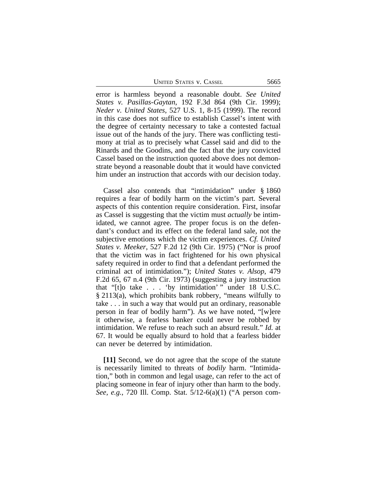UNITED STATES V. CASSEL 5665

error is harmless beyond a reasonable doubt. *See United States v. Pasillas-Gaytan*, 192 F.3d 864 (9th Cir. 1999); *Neder v. United States*, 527 U.S. 1, 8-15 (1999). The record in this case does not suffice to establish Cassel's intent with the degree of certainty necessary to take a contested factual issue out of the hands of the jury. There was conflicting testimony at trial as to precisely what Cassel said and did to the Rinards and the Goodins, and the fact that the jury convicted Cassel based on the instruction quoted above does not demonstrate beyond a reasonable doubt that it would have convicted him under an instruction that accords with our decision today.

Cassel also contends that "intimidation" under § 1860 requires a fear of bodily harm on the victim's part. Several aspects of this contention require consideration. First, insofar as Cassel is suggesting that the victim must *actually* be intimidated, we cannot agree. The proper focus is on the defendant's conduct and its effect on the federal land sale, not the subjective emotions which the victim experiences. *Cf. United States v. Meeker*, 527 F.2d 12 (9th Cir. 1975) ("Nor is proof that the victim was in fact frightened for his own physical safety required in order to find that a defendant performed the criminal act of intimidation."); *United States v. Alsop*, 479 F.2d 65, 67 n.4 (9th Cir. 1973) (suggesting a jury instruction that "[t]o take . . . 'by intimidation' " under 18 U.S.C. § 2113(a), which prohibits bank robbery, "means wilfully to take . . . in such a way that would put an ordinary, reasonable person in fear of bodily harm"). As we have noted, "[w]ere it otherwise, a fearless banker could never be robbed by intimidation. We refuse to reach such an absurd result." *Id.* at 67. It would be equally absurd to hold that a fearless bidder can never be deterred by intimidation.

**[11]** Second, we do not agree that the scope of the statute is necessarily limited to threats of *bodily* harm. "Intimidation," both in common and legal usage, can refer to the act of placing someone in fear of injury other than harm to the body. *See, e.g.*, 720 Ill. Comp. Stat. 5/12-6(a)(1) ("A person com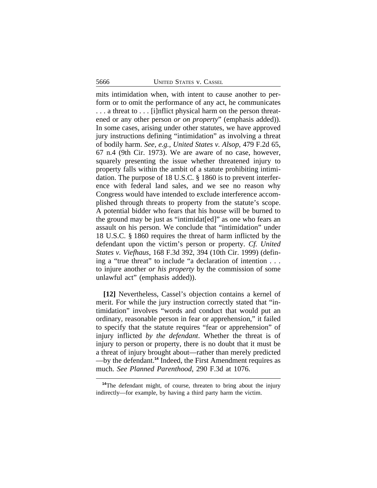mits intimidation when, with intent to cause another to perform or to omit the performance of any act, he communicates . . . a threat to . . . [i]nflict physical harm on the person threatened or any other person *or on property*" (emphasis added)). In some cases, arising under other statutes, we have approved jury instructions defining "intimidation" as involving a threat of bodily harm. *See, e.g.*, *United States v. Alsop*, 479 F.2d 65, 67 n.4 (9th Cir. 1973). We are aware of no case, however, squarely presenting the issue whether threatened injury to property falls within the ambit of a statute prohibiting intimidation. The purpose of 18 U.S.C. § 1860 is to prevent interference with federal land sales, and we see no reason why Congress would have intended to exclude interference accomplished through threats to property from the statute's scope. A potential bidder who fears that his house will be burned to the ground may be just as "intimidat[ed]" as one who fears an assault on his person. We conclude that "intimidation" under 18 U.S.C. § 1860 requires the threat of harm inflicted by the defendant upon the victim's person or property. *Cf. United States v. Viefhaus*, 168 F.3d 392, 394 (10th Cir. 1999) (defining a "true threat" to include "a declaration of intention . . . to injure another *or his property* by the commission of some unlawful act" (emphasis added)).

**[12]** Nevertheless, Cassel's objection contains a kernel of merit. For while the jury instruction correctly stated that "intimidation" involves "words and conduct that would put an ordinary, reasonable person in fear or apprehension," it failed to specify that the statute requires "fear or apprehension" of injury inflicted *by the defendant*. Whether the threat is of injury to person or property, there is no doubt that it must be a threat of injury brought about—rather than merely predicted —by the defendant.**<sup>14</sup>** Indeed, the First Amendment requires as much. *See Planned Parenthood*, 290 F.3d at 1076.

<sup>&</sup>lt;sup>14</sup>The defendant might, of course, threaten to bring about the injury indirectly—for example, by having a third party harm the victim.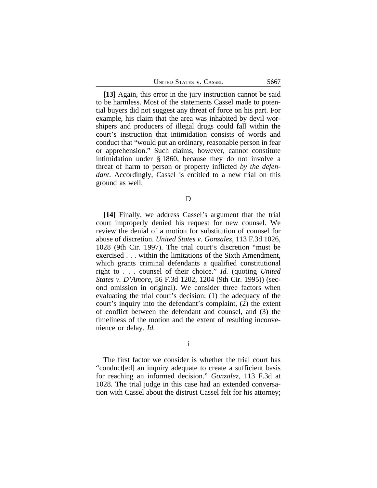| <b>UNITED STATES V. CASSEL</b> |  | 5667 |
|--------------------------------|--|------|
|                                |  |      |

**[13]** Again, this error in the jury instruction cannot be said to be harmless. Most of the statements Cassel made to potential buyers did not suggest any threat of force on his part. For example, his claim that the area was inhabited by devil worshipers and producers of illegal drugs could fall within the court's instruction that intimidation consists of words and conduct that "would put an ordinary, reasonable person in fear or apprehension." Such claims, however, cannot constitute intimidation under § 1860, because they do not involve a threat of harm to person or property inflicted *by the defendant*. Accordingly, Cassel is entitled to a new trial on this ground as well.

D

**[14]** Finally, we address Cassel's argument that the trial court improperly denied his request for new counsel. We review the denial of a motion for substitution of counsel for abuse of discretion. *United States v. Gonzalez*, 113 F.3d 1026, 1028 (9th Cir. 1997). The trial court's discretion "must be exercised . . . within the limitations of the Sixth Amendment, which grants criminal defendants a qualified constitutional right to . . . counsel of their choice." *Id.* (quoting *United States v. D'Amore*, 56 F.3d 1202, 1204 (9th Cir. 1995)) (second omission in original). We consider three factors when evaluating the trial court's decision: (1) the adequacy of the court's inquiry into the defendant's complaint, (2) the extent of conflict between the defendant and counsel, and (3) the timeliness of the motion and the extent of resulting inconvenience or delay. *Id.*

i

The first factor we consider is whether the trial court has "conduct[ed] an inquiry adequate to create a sufficient basis for reaching an informed decision." *Gonzalez*, 113 F.3d at 1028. The trial judge in this case had an extended conversation with Cassel about the distrust Cassel felt for his attorney;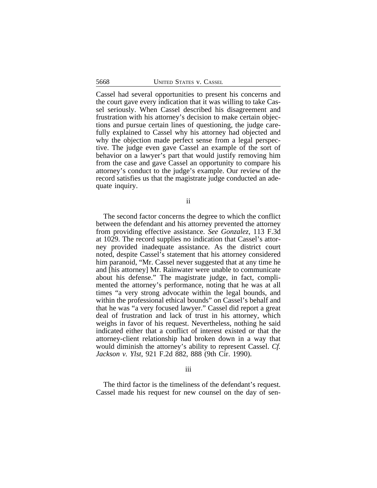Cassel had several opportunities to present his concerns and the court gave every indication that it was willing to take Cassel seriously. When Cassel described his disagreement and frustration with his attorney's decision to make certain objections and pursue certain lines of questioning, the judge carefully explained to Cassel why his attorney had objected and why the objection made perfect sense from a legal perspective. The judge even gave Cassel an example of the sort of behavior on a lawyer's part that would justify removing him from the case and gave Cassel an opportunity to compare his attorney's conduct to the judge's example. Our review of the record satisfies us that the magistrate judge conducted an adequate inquiry.

ii

The second factor concerns the degree to which the conflict between the defendant and his attorney prevented the attorney from providing effective assistance. *See Gonzalez*, 113 F.3d at 1029. The record supplies no indication that Cassel's attorney provided inadequate assistance. As the district court noted, despite Cassel's statement that his attorney considered him paranoid, "Mr. Cassel never suggested that at any time he and [his attorney] Mr. Rainwater were unable to communicate about his defense." The magistrate judge, in fact, complimented the attorney's performance, noting that he was at all times "a very strong advocate within the legal bounds, and within the professional ethical bounds" on Cassel's behalf and that he was "a very focused lawyer." Cassel did report a great deal of frustration and lack of trust in his attorney, which weighs in favor of his request. Nevertheless, nothing he said indicated either that a conflict of interest existed or that the attorney-client relationship had broken down in a way that would diminish the attorney's ability to represent Cassel. *Cf. Jackson v. Ylst*, 921 F.2d 882, 888 (9th Cir. 1990).

iii

The third factor is the timeliness of the defendant's request. Cassel made his request for new counsel on the day of sen-